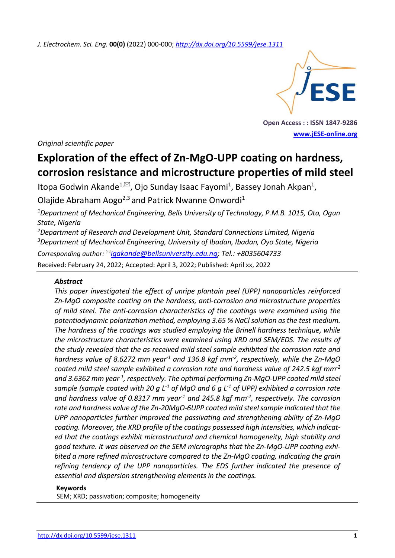*J. Electrochem. Sci. Eng.* **00(0)** (2022) 000-000; *<http://dx.doi.org/10.5599/jese.1311>*



**Open Access : : ISSN 1847-9286 [www.jESE-online.org](http://www.jese-online.org/)**

*Original scientific paper*

# **Exploration of the effect of Zn-MgO-UPP coating on hardness, corrosion resistance and microstructure properties of mild steel**

Itopa Godwin Akande<sup>1, $\boxtimes$ </sup>, Ojo Sunday Isaac Fayomi<sup>1</sup>, Bassey Jonah Akpan<sup>1</sup>,

Olajide Abraham Aogo<sup>2,3</sup> and Patrick Nwanne Onwordi<sup>1</sup>

*<sup>1</sup>Department of Mechanical Engineering, Bells University of Technology, P.M.B. 1015, Ota, Ogun State, Nigeria*

*<sup>2</sup>Department of Research and Development Unit, Standard Connections Limited, Nigeria <sup>3</sup>Department of Mechanical Engineering, University of Ibadan, Ibadan, Oyo State, Nigeria Corresponding author: [igakande@bellsuniversity.edu.ng;](mailto:igakande@bellsuniversity.edu.ng) Tel.: +8035604733*

Received: February 24, 2022; Accepted: April 3, 2022; Published: April xx, 2022

## *Abstract*

*This paper investigated the effect of unripe plantain peel (UPP) nanoparticles reinforced Zn-MgO composite coating on the hardness, anti-corrosion and microstructure properties of mild steel. The anti-corrosion characteristics of the coatings were examined using the potentiodynamic polarization method, employing 3.65 % NaCl solution as the test medium. The hardness of the coatings was studied employing the Brinell hardness technique, while the microstructure characteristics were examined using XRD and SEM/EDS. The results of the study revealed that the as-received mild steel sample exhibited the corrosion rate and hardness value of 8.6272 mm year-1 and 136.8 kgf mm-2 , respectively, while the Zn-MgO coated mild steel sample exhibited a corrosion rate and hardness value of 242.5 kgf mm-2 and 3.6362 mm year-1 , respectively. The optimal performing Zn-MgO-UPP coated mild steel sample (sample coated with 20 g L-1 of MgO and 6 g L-1 of UPP) exhibited a corrosion rate and hardness value of 0.8317 mm year-1 and 245.8 kgf mm-2 , respectively. The corrosion rate and hardness value of the Zn-20MgO-6UPP coated mild steel sample indicated that the UPP nanoparticles further improved the passivating and strengthening ability of Zn-MgO coating. Moreover, the XRD profile of the coatings possessed high intensities, which indicated that the coatings exhibit microstructural and chemical homogeneity, high stability and good texture. It was observed on the SEM micrographs that the Zn-MgO-UPP coating exhibited a more refined microstructure compared to the Zn-MgO coating, indicating the grain refining tendency of the UPP nanoparticles. The EDS further indicated the presence of essential and dispersion strengthening elements in the coatings.*

#### **Keywords**

SEM; XRD; passivation; composite; homogeneity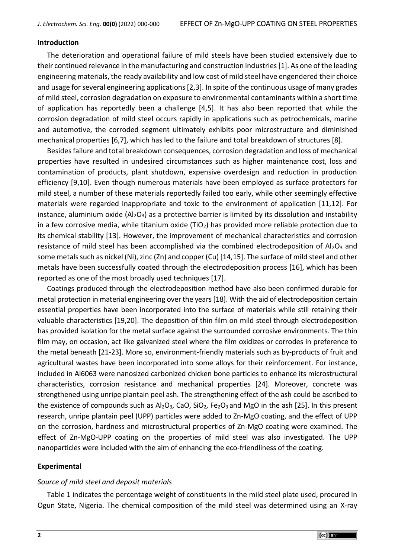## **Introduction**

The deterioration and operational failure of mild steels have been studied extensively due to their continued relevance in the manufacturing and construction industries [1]. As one of the leading engineering materials, the ready availability and low cost of mild steel have engendered their choice and usage for several engineering applications [2,3]. In spite of the continuous usage of many grades of mild steel, corrosion degradation on exposure to environmental contaminants within a short time of application has reportedly been a challenge [4,5]. It has also been reported that while the corrosion degradation of mild steel occurs rapidly in applications such as petrochemicals, marine and automotive, the corroded segment ultimately exhibits poor microstructure and diminished mechanical properties [6,7], which has led to the failure and total breakdown of structures [8].

Besides failure and total breakdown consequences, corrosion degradation and loss of mechanical properties have resulted in undesired circumstances such as higher maintenance cost, loss and contamination of products, plant shutdown, expensive overdesign and reduction in production efficiency [9,10]. Even though numerous materials have been employed as surface protectors for mild steel, a number of these materials reportedly failed too early, while other seemingly effective materials were regarded inappropriate and toxic to the environment of application [11,12]. For instance, aluminium oxide  $(A_2O_3)$  as a protective barrier is limited by its dissolution and instability in a few corrosive media, while titanium oxide  $(TiO<sub>2</sub>)$  has provided more reliable protection due to its chemical stability [13]. However, the improvement of mechanical characteristics and corrosion resistance of mild steel has been accomplished via the combined electrodeposition of  $Al_2O_3$  and some metals such as nickel (Ni), zinc (Zn) and copper (Cu) [14,15]. The surface of mild steel and other metals have been successfully coated through the electrodeposition process [16], which has been reported as one of the most broadly used techniques [17].

Coatings produced through the electrodeposition method have also been confirmed durable for metal protection in material engineering over the years [18]. With the aid of electrodeposition certain essential properties have been incorporated into the surface of materials while still retaining their valuable characteristics [19,20]. The deposition of thin film on mild steel through electrodeposition has provided isolation for the metal surface against the surrounded corrosive environments. The thin film may, on occasion, act like galvanized steel where the film oxidizes or corrodes in preference to the metal beneath [21-23]. More so, environment-friendly materials such as by-products of fruit and agricultural wastes have been incorporated into some alloys for their reinforcement. For instance, included in Al6063 were nanosized carbonized chicken bone particles to enhance its microstructural characteristics, corrosion resistance and mechanical properties [24]. Moreover, concrete was strengthened using unripe plantain peel ash. The strengthening effect of the ash could be ascribed to the existence of compounds such as  $Al_2O_3$ , CaO, SiO<sub>2</sub>, Fe<sub>2</sub>O<sub>3</sub> and MgO in the ash [25]. In this present research, unripe plantain peel (UPP) particles were added to Zn-MgO coating, and the effect of UPP on the corrosion, hardness and microstructural properties of Zn-MgO coating were examined. The effect of Zn-MgO-UPP coating on the properties of mild steel was also investigated. The UPP nanoparticles were included with the aim of enhancing the eco-friendliness of the coating.

## **Experimental**

## *Source of mild steel and deposit materials*

Table 1 indicates the percentage weight of constituents in the mild steel plate used, procured in Ogun State, Nigeria. The chemical composition of the mild steel was determined using an X-ray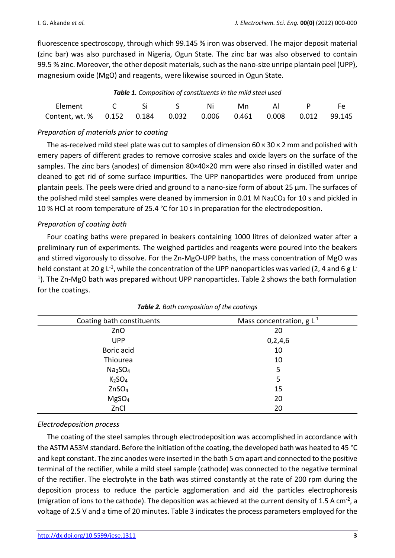fluorescence spectroscopy, through which 99.145 % iron was observed. The major deposit material (zinc bar) was also purchased in Nigeria, Ogun State. The zinc bar was also observed to contain 99.5 % zinc. Moreover, the other deposit materials, such as the nano-size unripe plantain peel (UPP), magnesium oxide (MgO) and reagents, were likewise sourced in Ogun State.

| Element                                            |  |  |  | Ni | Mn |  |              |  |
|----------------------------------------------------|--|--|--|----|----|--|--------------|--|
| Content, wt. % 0.152 0.184 0.032 0.006 0.461 0.008 |  |  |  |    |    |  | 0.012 99.145 |  |

*Table 1. Composition of constituents in the mild steel used* 

## *Preparation of materials prior to coating*

The as-received mild steel plate was cut to samples of dimension 60  $\times$  30  $\times$  2 mm and polished with emery papers of different grades to remove corrosive scales and oxide layers on the surface of the samples. The zinc bars (anodes) of dimension 80×40×20 mm were also rinsed in distilled water and cleaned to get rid of some surface impurities. The UPP nanoparticles were produced from unripe plantain peels. The peels were dried and ground to a nano-size form of about 25 μm. The surfaces of the polished mild steel samples were cleaned by immersion in 0.01 M  $Na_2CO_3$  for 10 s and pickled in 10 % HCl at room temperature of 25.4 °C for 10 s in preparation for the electrodeposition.

## *Preparation of coating bath*

Four coating baths were prepared in beakers containing 1000 litres of deionized water after a preliminary run of experiments. The weighed particles and reagents were poured into the beakers and stirred vigorously to dissolve. For the Zn-MgO-UPP baths, the mass concentration of MgO was held constant at 20 g L<sup>-1</sup>, while the concentration of the UPP nanoparticles was varied (2, 4 and 6 g L<sup>-</sup> <sup>1</sup>). The Zn-MgO bath was prepared without UPP nanoparticles. Table 2 shows the bath formulation for the coatings.

| Coating bath constituents       | Mass concentration, $g L^{-1}$ |
|---------------------------------|--------------------------------|
| ZnO                             | 20                             |
| <b>UPP</b>                      | 0,2,4,6                        |
| Boric acid                      | 10                             |
| Thiourea                        | 10                             |
| Na <sub>2</sub> SO <sub>4</sub> | 5                              |
| K <sub>2</sub> SO <sub>4</sub>  | 5                              |
| ZnSO <sub>4</sub>               | 15                             |
| MgSO <sub>4</sub>               | 20                             |
| ZnCl                            | 20                             |

## *Electrodeposition process*

The coating of the steel samples through electrodeposition was accomplished in accordance with the ASTM A53M standard. Before the initiation of the coating, the developed bath was heated to 45 °C and kept constant. The zinc anodes were inserted in the bath 5 cm apart and connected to the positive terminal of the rectifier, while a mild steel sample (cathode) was connected to the negative terminal of the rectifier. The electrolyte in the bath was stirred constantly at the rate of 200 rpm during the deposition process to reduce the particle agglomeration and aid the particles electrophoresis (migration of ions to the cathode). The deposition was achieved at the current density of 1.5 A cm<sup>-2</sup>, a voltage of 2.5 V and a time of 20 minutes. Table 3 indicates the process parameters employed for the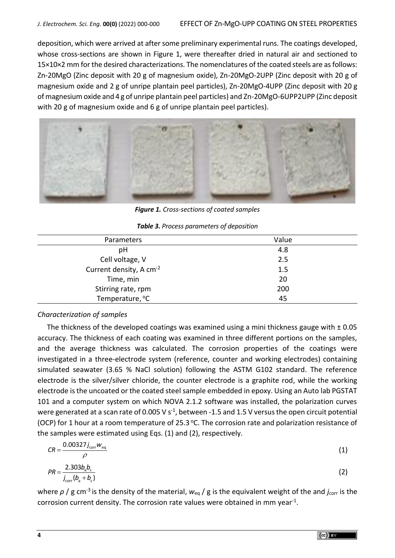deposition, which were arrived at after some preliminary experimental runs. The coatings developed, whose cross-sections are shown in Figure 1, were thereafter dried in natural air and sectioned to 15×10×2 mm for the desired characterizations. The nomenclatures of the coated steels are as follows: Zn-20MgO (Zinc deposit with 20 g of magnesium oxide), Zn-20MgO-2UPP (Zinc deposit with 20 g of magnesium oxide and 2 g of unripe plantain peel particles), Zn-20MgO-4UPP (Zinc deposit with 20 g of magnesium oxide and 4 g of unripe plantain peel particles) and Zn-20MgO-6UPP2UPP (Zinc deposit with 20 g of magnesium oxide and 6 g of unripe plantain peel particles).



*Figure 1. Cross-sections of coated samples* 

| Parameters                          | Value |
|-------------------------------------|-------|
| pH                                  | 4.8   |
| Cell voltage, V                     | 2.5   |
| Current density, A cm <sup>-2</sup> | 1.5   |
| Time, min                           | 20    |
| Stirring rate, rpm                  | 200   |
| Temperature, <sup>o</sup> C         | 45    |

## *Characterization of samples*

The thickness of the developed coatings was examined using a mini thickness gauge with  $\pm$  0.05 accuracy. The thickness of each coating was examined in three different portions on the samples, and the average thickness was calculated. The corrosion properties of the coatings were investigated in a three-electrode system (reference, counter and working electrodes) containing simulated seawater (3.65 % NaCl solution) following the ASTM G102 standard. The reference electrode is the silver/silver chloride, the counter electrode is a graphite rod, while the working electrode is the uncoated or the coated steel sample embedded in epoxy. Using an Auto lab PGSTAT 101 and a computer system on which NOVA 2.1.2 software was installed, the polarization curves were generated at a scan rate of 0.005 V s<sup>-1</sup>, between -1.5 and 1.5 V versus the open circuit potential (OCP) for 1 hour at a room temperature of 25.3 °C. The corrosion rate and polarization resistance of the samples were estimated using Eqs. (1) and (2), respectively.

$$
CR = \frac{0.00327j_{\text{corr}}w_{\text{eq}}}{\rho}
$$
(1)  

$$
PR = \frac{2.303b_{a}b_{c}}{j_{\text{corr}}(b_{a} + b_{c})}
$$
(2)

where *ρ* / g cm<sup>-3</sup> is the density of the material,  $w_{eq}$  / g is the equivalent weight of the and *j*<sub>corr</sub> is the corrosion current density. The corrosion rate values were obtained in mm year $^{-1}$ .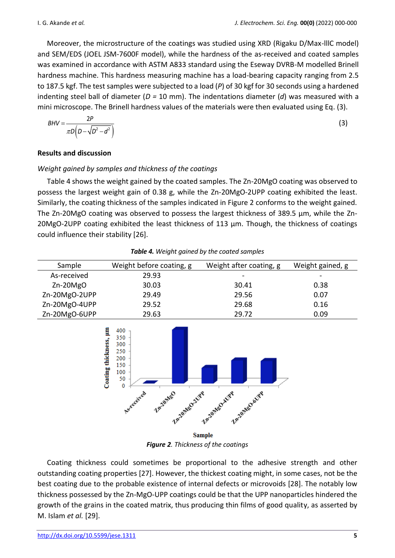Moreover, the microstructure of the coatings was studied using XRD (Rigaku D/Max-lllC model) and SEM/EDS (JOEL JSM-7600F model), while the hardness of the as-received and coated samples was examined in accordance with ASTM A833 standard using the Eseway DVRB-M modelled Brinell hardness machine. This hardness measuring machine has a load-bearing capacity ranging from 2.5 to 187.5 kgf. The test samples were subjected to a load (*P*) of 30 kgf for 30 seconds using a hardened indenting steel ball of diameter (*D =* 10 mm). The indentations diameter (*d*) was measured with a mini microscope. The Brinell hardness values of the materials were then evaluated using Eq. (3).

$$
BHV = \frac{2P}{\pi D\left(D - \sqrt{D^2 - d^2}\right)}
$$
\n(3)

# **Results and discussion**

# *Weight gained by samples and thickness of the coatings*

Table 4 shows the weight gained by the coated samples. The Zn-20MgO coating was observed to possess the largest weight gain of 0.38 g, while the Zn-20MgO-2UPP coating exhibited the least. Similarly, the coating thickness of the samples indicated in Figure 2 conforms to the weight gained. The Zn-20MgO coating was observed to possess the largest thickness of 389.5 μm, while the Zn-20MgO-2UPP coating exhibited the least thickness of 113 μm. Though, the thickness of coatings could influence their stability [26].

| Sample        | Weight before coating, g | Weight after coating, g | Weight gained, g |  |  |  |
|---------------|--------------------------|-------------------------|------------------|--|--|--|
| As-received   | 29.93                    |                         |                  |  |  |  |
| $Zn-20MgO$    | 30.03                    | 30.41                   | 0.38             |  |  |  |
| Zn-20MgO-2UPP | 29.49                    | 29.56                   | 0.07             |  |  |  |
| Zn-20MgO-4UPP | 29.52                    | 29.68                   | 0.16             |  |  |  |
| Zn-20MgO-6UPP | 29.63                    | 29.72                   | 0.09             |  |  |  |

*Table 4. Weight gained by the coated samples*



*Figure 2. Thickness of the coatings* 

Coating thickness could sometimes be proportional to the adhesive strength and other outstanding coating properties [27]. However, the thickest coating might, in some cases, not be the best coating due to the probable existence of internal defects or microvoids [28]. The notably low thickness possessed by the Zn-MgO-UPP coatings could be that the UPP nanoparticles hindered the growth of the grains in the coated matrix, thus producing thin films of good quality, as asserted by M. Islam *et al.* [29].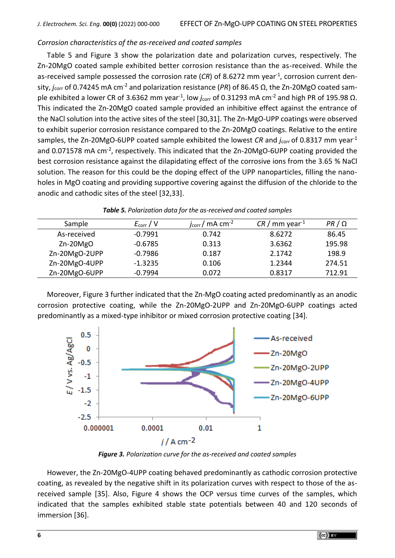## *Corrosion characteristics of the as-received and coated samples*

Table 5 and Figure 3 show the polarization date and polarization curves, respectively. The Zn-20MgO coated sample exhibited better corrosion resistance than the as-received. While the as-received sample possessed the corrosion rate (CR) of 8.6272 mm year<sup>-1</sup>, corrosion current density, *j*corr of 0.74245 mA cm-2 and polarization resistance (*PR*) of 86.45 Ω, the Zn-20MgO coated sample exhibited a lower CR of 3.6362 mm year<sup>-1</sup>, low *j*<sub>corr</sub> of 0.31293 mA cm<sup>-2</sup> and high PR of 195.98 Ω. This indicated the Zn-20MgO coated sample provided an inhibitive effect against the entrance of the NaCl solution into the active sites of the steel [30,31]. The Zn-MgO-UPP coatings were observed to exhibit superior corrosion resistance compared to the Zn-20MgO coatings. Relative to the entire samples, the Zn-20MgO-6UPP coated sample exhibited the lowest *CR* and *j*<sub>corr</sub> of 0.8317 mm year<sup>-1</sup> and 0.071578 mA cm<sup>-2</sup>, respectively. This indicated that the Zn-20MgO-6UPP coating provided the best corrosion resistance against the dilapidating effect of the corrosive ions from the 3.65 % NaCl solution. The reason for this could be the doping effect of the UPP nanoparticles, filling the nanoholes in MgO coating and providing supportive covering against the diffusion of the chloride to the anodic and cathodic sites of the steel [32,33].

| Sample        | $E_{\text{corr}}/V$ | $j_{\text{corr}}/$ mA cm <sup>-2</sup> | $CR /$ mm year <sup>-1</sup> | PR / Q |
|---------------|---------------------|----------------------------------------|------------------------------|--------|
| As-received   | $-0.7991$           | 0.742                                  | 8.6272                       | 86.45  |
| $Zn-20MgO$    | $-0.6785$           | 0.313                                  | 3.6362                       | 195.98 |
| Zn-20MgO-2UPP | $-0.7986$           | 0.187                                  | 2.1742                       | 198.9  |
| Zn-20MgO-4UPP | $-1.3235$           | 0.106                                  | 1.2344                       | 274.51 |
| Zn-20MgO-6UPP | $-0.7994$           | 0.072                                  | 0.8317                       | 712.91 |
|               |                     |                                        |                              |        |

| <b>Table 5.</b> Polarization data for the as-received and coated samples |  |  |  |  |  |
|--------------------------------------------------------------------------|--|--|--|--|--|
|--------------------------------------------------------------------------|--|--|--|--|--|

Moreover, Figure 3 further indicated that the Zn-MgO coating acted predominantly as an anodic corrosion protective coating, while the Zn-20MgO-2UPP and Zn-20MgO-6UPP coatings acted predominantly as a mixed-type inhibitor or mixed corrosion protective coating [34].



*Figure 3. Polarization curve for the as-received and coated samples*

However, the Zn-20MgO-4UPP coating behaved predominantly as cathodic corrosion protective coating, as revealed by the negative shift in its polarization curves with respect to those of the asreceived sample [35]. Also, Figure 4 shows the OCP versus time curves of the samples, which indicated that the samples exhibited stable state potentials between 40 and 120 seconds of immersion [36].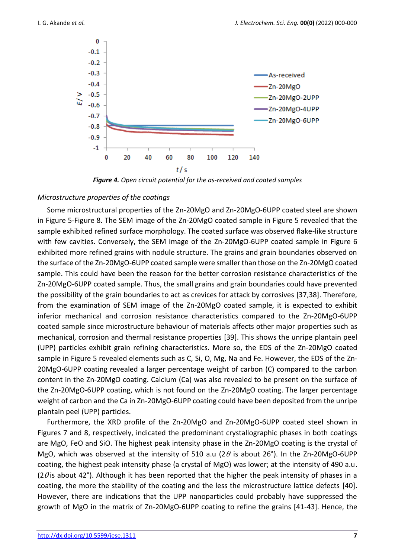

*Figure 4. Open circuit potential for the as-received and coated samples*

#### *Microstructure properties of the coatings*

Some microstructural properties of the Zn-20MgO and Zn-20MgO-6UPP coated steel are shown in Figure 5-Figure 8. The SEM image of the Zn-20MgO coated sample in Figure 5 revealed that the sample exhibited refined surface morphology. The coated surface was observed flake-like structure with few cavities. Conversely, the SEM image of the Zn-20MgO-6UPP coated sample in Figure 6 exhibited more refined grains with nodule structure. The grains and grain boundaries observed on the surface of the Zn-20MgO-6UPP coated sample were smaller than those on the Zn-20MgO coated sample. This could have been the reason for the better corrosion resistance characteristics of the Zn-20MgO-6UPP coated sample. Thus, the small grains and grain boundaries could have prevented the possibility of the grain boundaries to act as crevices for attack by corrosives [37,38]. Therefore, from the examination of SEM image of the Zn-20MgO coated sample, it is expected to exhibit inferior mechanical and corrosion resistance characteristics compared to the Zn-20MgO-6UPP coated sample since microstructure behaviour of materials affects other major properties such as mechanical, corrosion and thermal resistance properties [39]. This shows the unripe plantain peel (UPP) particles exhibit grain refining characteristics. More so, the EDS of the Zn-20MgO coated sample in Figure 5 revealed elements such as C, Si, O, Mg, Na and Fe. However, the EDS of the Zn-20MgO-6UPP coating revealed a larger percentage weight of carbon (C) compared to the carbon content in the Zn-20MgO coating. Calcium (Ca) was also revealed to be present on the surface of the Zn-20MgO-6UPP coating, which is not found on the Zn-20MgO coating. The larger percentage weight of carbon and the Ca in Zn-20MgO-6UPP coating could have been deposited from the unripe plantain peel (UPP) particles.

Furthermore, the XRD profile of the Zn-20MgO and Zn-20MgO-6UPP coated steel shown in Figures 7 and 8, respectively, indicated the predominant crystallographic phases in both coatings are MgO, FeO and SiO. The highest peak intensity phase in the Zn-20MgO coating is the crystal of MgO, which was observed at the intensity of 510 a.u (2 $\theta$  is about 26°). In the Zn-20MgO-6UPP coating, the highest peak intensity phase (a crystal of MgO) was lower; at the intensity of 490 a.u. (2 $\theta$  is about 42°). Although it has been reported that the higher the peak intensity of phases in a coating, the more the stability of the coating and the less the microstructure lattice defects [40]. However, there are indications that the UPP nanoparticles could probably have suppressed the growth of MgO in the matrix of Zn-20MgO-6UPP coating to refine the grains [41-43]. Hence, the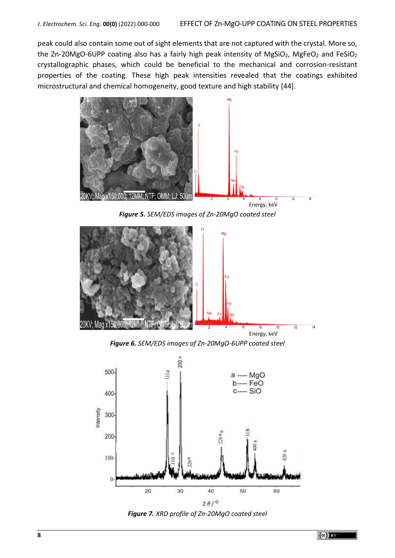peak could also contain some out of sight elements that are not captured with the crystal. More so, the Zn-20MgO-6UPP coating also has a fairly high peak intensity of MgSiO<sub>2</sub>, MgFeO<sub>2</sub> and FeSiO<sub>2</sub> crystallographic phases, which could be beneficial to the mechanical and corrosion-resistant properties of the coating. These high peak intensities revealed that the coatings exhibited microstructural and chemical homogeneity, good texture and high stability [44].



*Figure 5. SEM/EDS images of Zn-20MgO coated steel*



*Figure 6. SEM/EDS images of Zn-20MgO-6UPP coated steel*



*Figure 7. XRD profile of Zn-20MgO coated steel*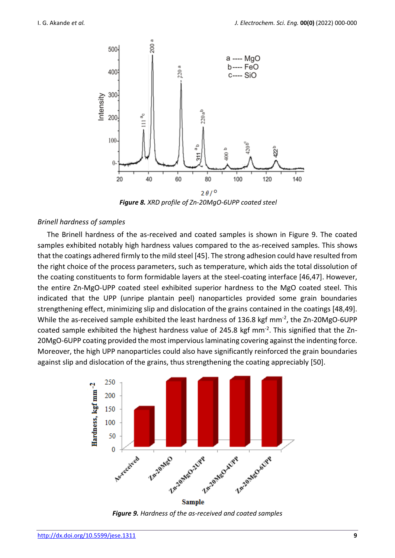

*Figure 8. XRD profile of Zn-20MgO-6UPP coated steel*

#### *Brinell hardness of samples*

The Brinell hardness of the as-received and coated samples is shown in Figure 9. The coated samples exhibited notably high hardness values compared to the as-received samples. This shows that the coatings adhered firmly to the mild steel [45]. The strong adhesion could have resulted from the right choice of the process parameters, such as temperature, which aids the total dissolution of the coating constituents to form formidable layers at the steel-coating interface [46,47]. However, the entire Zn-MgO-UPP coated steel exhibited superior hardness to the MgO coated steel. This indicated that the UPP (unripe plantain peel) nanoparticles provided some grain boundaries strengthening effect, minimizing slip and dislocation of the grains contained in the coatings [48,49]. While the as-received sample exhibited the least hardness of 136.8 kgf mm $^{-2}$ , the Zn-20MgO-6UPP coated sample exhibited the highest hardness value of 245.8 kgf mm<sup>-2</sup>. This signified that the Zn-20MgO-6UPP coating provided the most impervious laminating covering against the indenting force. Moreover, the high UPP nanoparticles could also have significantly reinforced the grain boundaries against slip and dislocation of the grains, thus strengthening the coating appreciably [50].



*Figure 9. Hardness of the as-received and coated samples*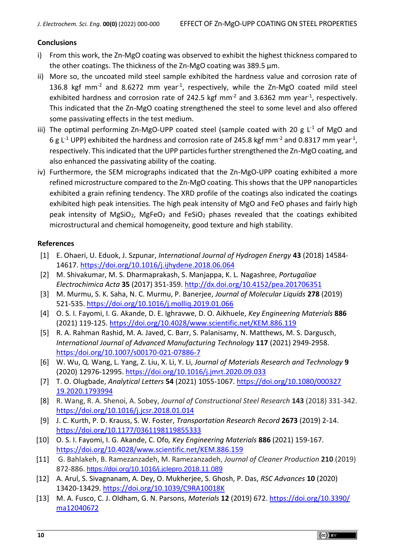# **Conclusions**

- i) From this work, the Zn-MgO coating was observed to exhibit the highest thickness compared to the other coatings. The thickness of the Zn-MgO coating was 389.5 μm.
- ii) More so, the uncoated mild steel sample exhibited the hardness value and corrosion rate of 136.8 kgf mm<sup>-2</sup> and 8.6272 mm year<sup>-1</sup>, respectively, while the Zn-MgO coated mild steel exhibited hardness and corrosion rate of 242.5 kgf mm<sup>-2</sup> and 3.6362 mm year<sup>-1</sup>, respectively. This indicated that the Zn-MgO coating strengthened the steel to some level and also offered some passivating effects in the test medium.
- iii) The optimal performing Zn-MgO-UPP coated steel (sample coated with 20 g  $L^1$  of MgO and 6 g L<sup>-1</sup> UPP) exhibited the hardness and corrosion rate of 245.8 kgf mm<sup>-2</sup> and 0.8317 mm year<sup>-1</sup>, respectively. This indicated that the UPP particles further strengthened the Zn-MgO coating, and also enhanced the passivating ability of the coating.
- iv) Furthermore, the SEM micrographs indicated that the Zn-MgO-UPP coating exhibited a more refined microstructure compared to the Zn-MgO coating. This shows that the UPP nanoparticles exhibited a grain refining tendency. The XRD profile of the coatings also indicated the coatings exhibited high peak intensities. The high peak intensity of MgO and FeO phases and fairly high peak intensity of MgSiO<sub>2</sub>, MgFeO<sub>2</sub> and FeSiO<sub>2</sub> phases revealed that the coatings exhibited microstructural and chemical homogeneity, good texture and high stability.

## **References**

- [1] E. Ohaeri, U. Eduok, J. Szpunar, *International Journal of Hydrogen Energy* **43** (2018) 14584- 14617. <https://doi.org/10.1016/j.ijhydene.2018.06.064>
- [2] M. Shivakumar, M. S. Dharmaprakash, S. Manjappa, K. L. Nagashree, *Portugaliae Electrochimica Acta* **35** (2017) 351-359. <http://dx.doi.org/10.4152/pea.201706351>
- [3] M. Murmu, S. K. Saha, N. C. Murmu, P. Banerjee, *Journal of Molecular Liquids* **278** (2019) 521-535. <https://doi.org/10.1016/j.molliq.2019.01.066>
- [4] O. S. I. Fayomi, I. G. Akande, D. E. Ighravwe, D. O. Aikhuele, *Key Engineering Materials* **886**  (2021) 119-125. <https://doi.org/10.4028/www.scientific.net/KEM.886.119>
- [5] R. A. Rahman Rashid, M. A. Javed, C. Barr, S. Palanisamy, N. Matthews, M. S. Dargusch, *International Journal of Advanced Manufacturing Technology* **117** (2021) 2949-2958. [https:/doi.org/10.1007/s00170-021-07886-7](https://doi.org/10.1007/s00170-021-07886-7)
- [6] W. Wu, Q. Wang, L. Yang, Z. Liu, X. Li, Y. Li, *Journal of Materials Research and Technology* **9** (2020) 12976-12995. <https://doi.org/10.1016/j.jmrt.2020.09.033>
- [7] T. O. Olugbade, *Analytical Letters* **54** (2021) 1055-1067. [https://doi.org/10.1080/000327](https://doi.org/10.1080/000327‌19.2020.1793994) [19.2020.1793994](https://doi.org/10.1080/000327‌19.2020.1793994)
- [8] R. Wang, R. A. Shenoi, A. Sobey, *Journal of Constructional Steel Research* **143** (2018) 331-342. <https://doi.org/10.1016/j.jcsr.2018.01.014>
- [9] J. C. Kurth, P. D. Krauss, S. W. Foster, *Transportation Research Record* **2673** (2019) 2-14. <https://doi.org/10.1177/0361198119855333>
- [10] O. S. I. Fayomi, I. G. Akande, C. Ofo*, Key Engineering Materials* **886** (2021) 159-167. <https://doi.org/10.4028/www.scientific.net/KEM.886.159>
- [11] G. Bahlakeh, B. Ramezanzadeh, M. Ramezanzadeh, *Journal of Cleaner Production* **210** (2019) 872-886. <https://doi.org/10.1016/j.jclepro.2018.11.089>
- [12] A. Arul, S. Sivagnanam, A. Dey, O. Mukherjee, S. Ghosh, P. Das, *RSC Advances* **10** (2020) 13420-13429. <https://doi.org/10.1039/C9RA10018K>
- [13] M. A. Fusco, C. J. Oldham, G. N. Parsons, *Materials* **12** (2019) 672. [https://doi.org/10.3390/](https://doi.org/10.3390/ma12040672) [ma12040672](https://doi.org/10.3390/ma12040672)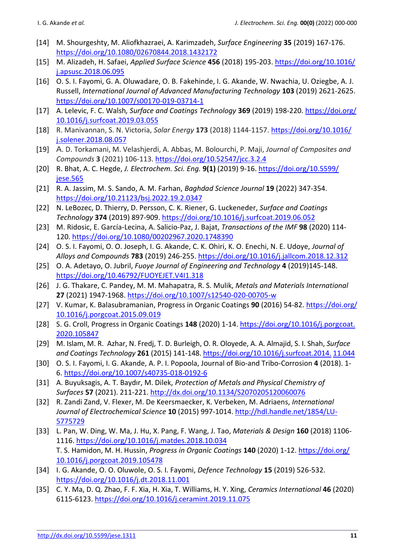- [14] M. Shourgeshty, M. Aliofkhazraei, A. Karimzadeh, *Surface Engineering* **35** (2019) 167-176. <https://doi.org/10.1080/02670844.2018.1432172>
- [15] M. Alizadeh, H. Safaei, *Applied Surface Science* **456** (2018) 195-203. [https://doi.org/10.1016/](https://doi.org/10.1016/j.apsusc.2018.06.095) [j.apsusc.2018.06.095](https://doi.org/10.1016/j.apsusc.2018.06.095)
- [16] O. S. I. Fayomi, G. A. Oluwadare, O. B. Fakehinde, I. G. Akande, W. Nwachia, U. Oziegbe, A. J. Russell, *International Journal of Advanced Manufacturing Technology* **103** (2019) 2621-2625. <https://doi.org/10.1007/s00170-019-03714-1>
- [17] A. Lelevic, F. C. Walsh*, Surface and Coatings Technology* **369** (2019) 198-220. [https://doi.org/](https://doi.org/‌10.1016/j.surfcoat.2019.03.055) [10.1016/j.surfcoat.2019.03.055](https://doi.org/‌10.1016/j.surfcoat.2019.03.055)
- [18] R. Manivannan, S. N. Victoria, *Solar Energy* **173** (2018) 1144-1157. [https://doi.org/10.1016/](https://doi.org/10.1016/j.solener.2018.08.057) [j.solener.2018.08.057](https://doi.org/10.1016/j.solener.2018.08.057)
- [19] A. D. Torkamani, M. Velashjerdi, A. Abbas, M. Bolourchi, P. Maji, *Journal of Composites and Compounds* **3** (2021) 106-113. <https://doi.org/10.52547/jcc.3.2.4>
- [20] R. Bhat, A. C. Hegde, *J. Electrochem. Sci. Eng.* **9(1)** (2019) 9-16. [https://doi.org/10.5599/](https://doi.org/10.5599/jese.565) [jese.565](https://doi.org/10.5599/jese.565)
- [21] R. A. Jassim, M. S. Sando, A. M. Farhan, *Baghdad Science Journal* **19** (2022) 347-354. <https://doi.org/10.21123/bsj.2022.19.2.0347>
- [22] N. LeBozec, D. Thierry, D. Persson, C. K. Riener, G. Luckeneder, *Surface and Coatings Technology* **374** (2019) 897-909. <https://doi.org/10.1016/j.surfcoat.2019.06.052>
- [23] M. Ridosic, E. García-Lecina, A. Salicio-Paz, J. Bajat, *Transactions of the IMF* **98** (2020) 114- 120. <https://doi.org/10.1080/00202967.2020.1748390>
- [24] O. S. I. Fayomi, O. O. Joseph, I. G. Akande, C. K. Ohiri, K. O. Enechi, N. E. Udoye, *Journal of Alloys and Compounds* **783** (2019) 246-255. <https://doi.org/10.1016/j.jallcom.2018.12.312>
- [25] O. A. Adetayo, O. Jubril, *Fuoye Journal of Engineering and Technology* **4** (2019)145-148. <https://doi.org/10.46792/FUOYEJET.V4I1.318>
- [26] J. G. Thakare, C. Pandey, M. M. Mahapatra, R. S. Mulik, *Metals and Materials International* **27** (2021) 1947-1968. <https://doi.org/10.1007/s12540-020-00705-w>
- [27] V. Kumar, K. Balasubramanian, Progress in Organic Coatings **90** (2016) 54-82. [https://doi.org/](https://doi.org/10.1016/j.porgcoat.2015.09.019) [10.1016/j.porgcoat.2015.09.019](https://doi.org/10.1016/j.porgcoat.2015.09.019)
- [28] S. G. Croll, Progress in Organic Coatings **148** (2020) 1-14. [https://doi.org/10.1016/j.porgcoat.](https://doi.org/10.1016/j.porg‌coat.‌2020.105847) [2020.105847](https://doi.org/10.1016/j.porg‌coat.‌2020.105847)
- [29] M. Islam, M. R. Azhar, N. Fredj, T. D. Burleigh, O. R. Oloyede, A. A. Almajid, S. I. Shah, *Surface and Coatings Technology* **261** (2015) 141-148. [https://doi.org/10.1016/j.surfcoat.2014.](https://doi.org/10.1016/j.surfcoat.2014.11.044) 11.044
- [30] O. S. I. Fayomi, I. G. Akande, A. P. I. Popoola, Journal of Bio-and Tribo-Corrosion **4** (2018). 1- 6. <https://doi.org/10.1007/s40735-018-0192-6>
- [31] A. Buyuksagis, A. T. Baydır, M. Dilek, *Protection of Metals and Physical Chemistry of Surfaces* **57** (2021). 211-221. <http://dx.doi.org/10.1134/S2070205120060076>
- [32] R. Zandi Zand, V. Flexer, M. De Keersmaecker, K. Verbeken, M. Adriaens, *International Journal of Electrochemical Science* **10** (2015) 997-1014. [http://hdl.handle.net/1854/LU-](http://hdl.handle.net/1854/LU-5775729)[5775729](http://hdl.handle.net/1854/LU-5775729)
- [33] L. Pan, W. Ding, W. Ma, J. Hu, X. Pang, F. Wang, J. Tao, *Materials & Design* **160** (2018) 1106- 1116. <https://doi.org/10.1016/j.matdes.2018.10.034> T. S. Hamidon, M. H. Hussin, *Progress in Organic Coatings* **140** (2020) 1-12. [https://doi.org/](https://doi.org/‌10.1016/j.porgcoat.2019.105478) [10.1016/j.porgcoat.2019.105478](https://doi.org/‌10.1016/j.porgcoat.2019.105478)
- [34] I. G. Akande, O. O. Oluwole, O. S. I. Fayomi, *Defence Technology* **15** (2019) 526-532. <https://doi.org/10.1016/j.dt.2018.11.001>
- [35] C. Y. Ma, D. Q. Zhao, F. F. Xia, H. Xia, T. Williams, H. Y. Xing, *Ceramics International* **46** (2020) 6115-6123. <https://doi.org/10.1016/j.ceramint.2019.11.075>